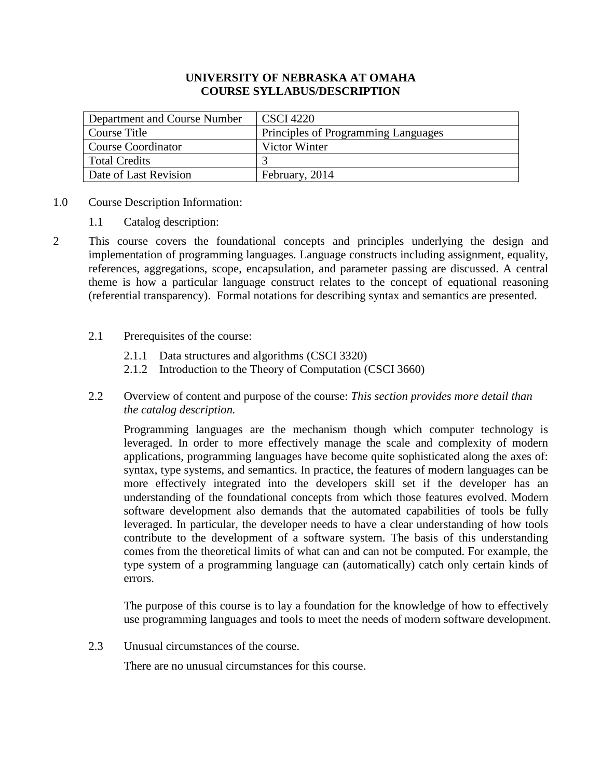## **UNIVERSITY OF NEBRASKA AT OMAHA COURSE SYLLABUS/DESCRIPTION**

| Department and Course Number | CSCI 4220                           |
|------------------------------|-------------------------------------|
| Course Title                 | Principles of Programming Languages |
| Course Coordinator           | Victor Winter                       |
| Total Credits                |                                     |
| Date of Last Revision        | February, 2014                      |

- 1.0 Course Description Information:
	- 1.1 Catalog description:
- 2 This course covers the foundational concepts and principles underlying the design and implementation of programming languages. Language constructs including assignment, equality, references, aggregations, scope, encapsulation, and parameter passing are discussed. A central theme is how a particular language construct relates to the concept of equational reasoning (referential transparency). Formal notations for describing syntax and semantics are presented.
	- 2.1 Prerequisites of the course:
		- 2.1.1 Data structures and algorithms (CSCI 3320)
		- 2.1.2 Introduction to the Theory of Computation (CSCI 3660)
	- 2.2 Overview of content and purpose of the course: *This section provides more detail than the catalog description.*

Programming languages are the mechanism though which computer technology is leveraged. In order to more effectively manage the scale and complexity of modern applications, programming languages have become quite sophisticated along the axes of: syntax, type systems, and semantics. In practice, the features of modern languages can be more effectively integrated into the developers skill set if the developer has an understanding of the foundational concepts from which those features evolved. Modern software development also demands that the automated capabilities of tools be fully leveraged. In particular, the developer needs to have a clear understanding of how tools contribute to the development of a software system. The basis of this understanding comes from the theoretical limits of what can and can not be computed. For example, the type system of a programming language can (automatically) catch only certain kinds of errors.

The purpose of this course is to lay a foundation for the knowledge of how to effectively use programming languages and tools to meet the needs of modern software development.

2.3 Unusual circumstances of the course.

There are no unusual circumstances for this course.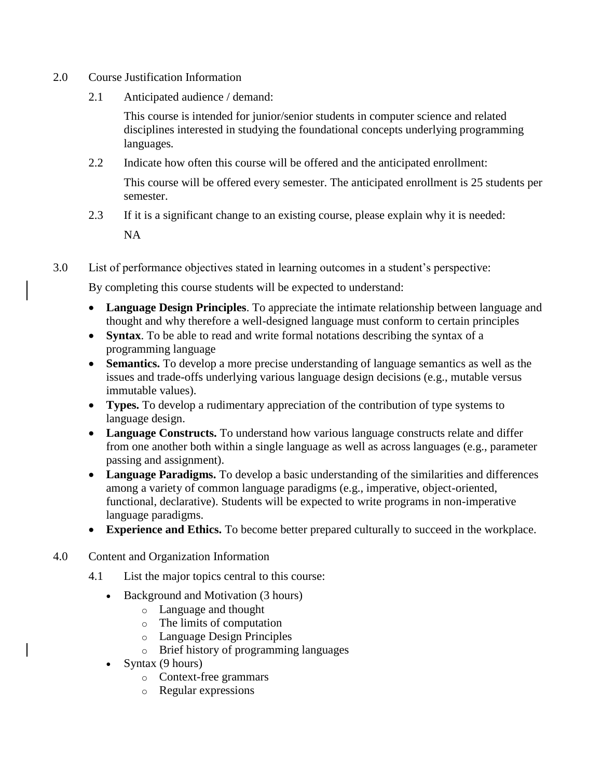- 2.0 Course Justification Information
	- 2.1 Anticipated audience / demand:

This course is intended for junior/senior students in computer science and related disciplines interested in studying the foundational concepts underlying programming languages*.*

2.2 Indicate how often this course will be offered and the anticipated enrollment:

This course will be offered every semester. The anticipated enrollment is 25 students per semester.

- 2.3 If it is a significant change to an existing course, please explain why it is needed: NA
- 3.0 List of performance objectives stated in learning outcomes in a student's perspective:

By completing this course students will be expected to understand:

- **Language Design Principles**. To appreciate the intimate relationship between language and thought and why therefore a well-designed language must conform to certain principles
- **Syntax**. To be able to read and write formal notations describing the syntax of a programming language
- **Semantics.** To develop a more precise understanding of language semantics as well as the issues and trade-offs underlying various language design decisions (e.g., mutable versus immutable values).
- **Types.** To develop a rudimentary appreciation of the contribution of type systems to language design.
- **Language Constructs.** To understand how various language constructs relate and differ from one another both within a single language as well as across languages (e.g., parameter passing and assignment).
- **Language Paradigms.** To develop a basic understanding of the similarities and differences among a variety of common language paradigms (e.g., imperative, object-oriented, functional, declarative). Students will be expected to write programs in non-imperative language paradigms.
- **Experience and Ethics.** To become better prepared culturally to succeed in the workplace.
- 4.0 Content and Organization Information
	- 4.1 List the major topics central to this course:
		- Background and Motivation (3 hours)
			- o Language and thought
			- o The limits of computation
			- o Language Design Principles
			- o Brief history of programming languages
		- Syntax  $(9 \text{ hours})$ 
			- o Context-free grammars
			- o Regular expressions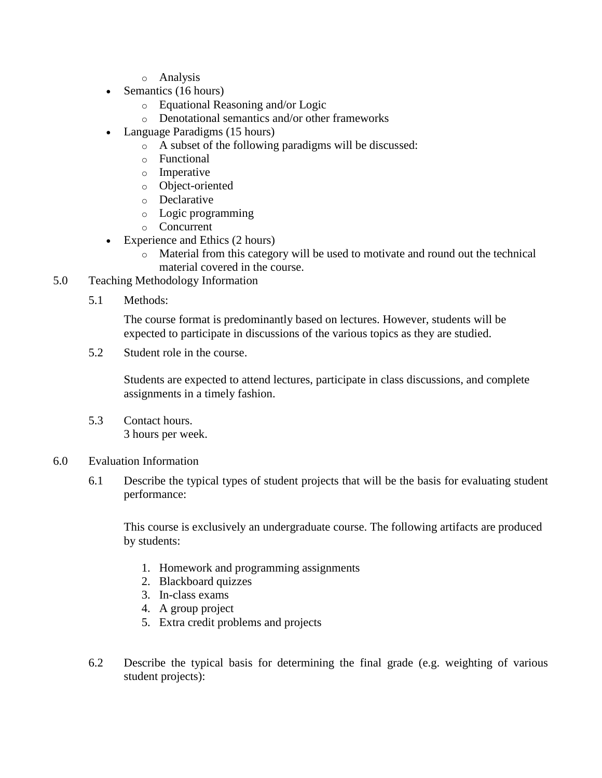- o Analysis
- Semantics (16 hours)
	- o Equational Reasoning and/or Logic
	- o Denotational semantics and/or other frameworks
- Language Paradigms (15 hours)
	- o A subset of the following paradigms will be discussed:
	- o Functional
	- o Imperative
	- o Object-oriented
	- o Declarative
	- o Logic programming
	- o Concurrent
- Experience and Ethics (2 hours)
	- o Material from this category will be used to motivate and round out the technical material covered in the course.
- 5.0 Teaching Methodology Information
	- 5.1 Methods:

The course format is predominantly based on lectures. However, students will be expected to participate in discussions of the various topics as they are studied.

5.2 Student role in the course.

Students are expected to attend lectures, participate in class discussions, and complete assignments in a timely fashion.

5.3 Contact hours. 3 hours per week.

### 6.0 Evaluation Information

6.1 Describe the typical types of student projects that will be the basis for evaluating student performance:

This course is exclusively an undergraduate course. The following artifacts are produced by students:

- 1. Homework and programming assignments
- 2. Blackboard quizzes
- 3. In-class exams
- 4. A group project
- 5. Extra credit problems and projects
- 6.2 Describe the typical basis for determining the final grade (e.g. weighting of various student projects):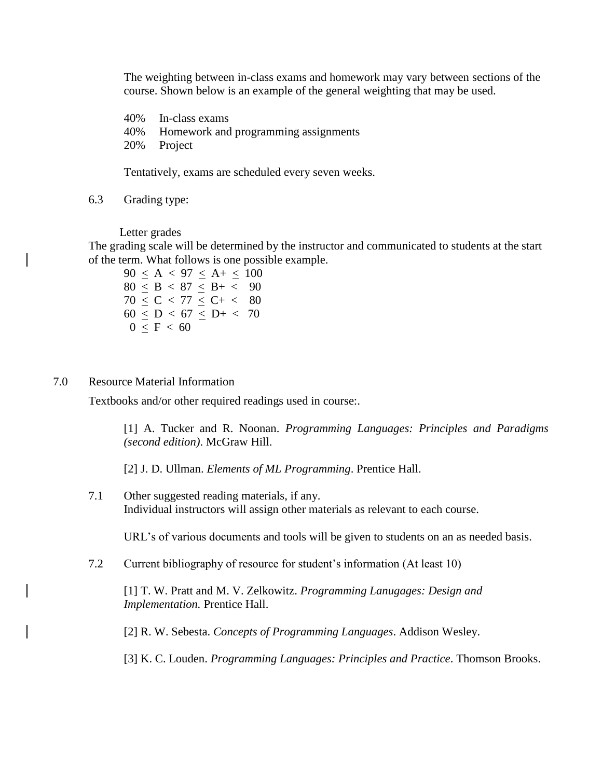The weighting between in-class exams and homework may vary between sections of the course. Shown below is an example of the general weighting that may be used.

40% In-class exams 40% Homework and programming assignments 20% Project

Tentatively, exams are scheduled every seven weeks.

6.3 Grading type:

Letter grades

The grading scale will be determined by the instructor and communicated to students at the start of the term. What follows is one possible example.

 $90 \le A < 97 \le A + \le 100$  $80 < B < 87 < B+ < 90$  $70 \le C < 77 \le C+ < 80$  $60 \le D < 67 \le D + < 70$  $0 \leq F < 60$ 

#### 7.0 Resource Material Information

Textbooks and/or other required readings used in course:.

[1] A. Tucker and R. Noonan. *Programming Languages: Principles and Paradigms (second edition)*. McGraw Hill.

[2] J. D. Ullman. *Elements of ML Programming*. Prentice Hall.

7.1 Other suggested reading materials, if any. Individual instructors will assign other materials as relevant to each course.

URL's of various documents and tools will be given to students on an as needed basis.

7.2 Current bibliography of resource for student's information (At least 10)

[1] T. W. Pratt and M. V. Zelkowitz. *Programming Lanugages: Design and Implementation.* Prentice Hall.

[2] R. W. Sebesta. *Concepts of Programming Languages*. Addison Wesley.

[3] K. C. Louden. *Programming Languages: Principles and Practice*. Thomson Brooks.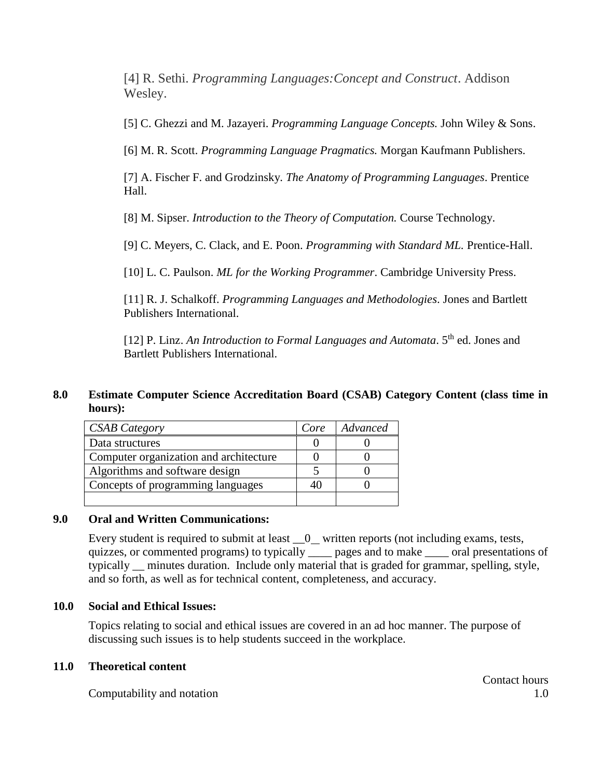[4] R. Sethi. *Programming Languages:Concept and Construct*. Addison Wesley.

[5] C. Ghezzi and M. Jazayeri. *Programming Language Concepts.* John Wiley & Sons.

[6] M. R. Scott. *Programming Language Pragmatics.* Morgan Kaufmann Publishers.

[7] A. Fischer F. and Grodzinsky. *The Anatomy of Programming Languages*. Prentice Hall.

[8] M. Sipser. *Introduction to the Theory of Computation.* Course Technology.

[9] C. Meyers, C. Clack, and E. Poon. *Programming with Standard ML.* Prentice-Hall.

[10] L. C. Paulson. *ML for the Working Programmer*. Cambridge University Press.

[11] R. J. Schalkoff. *Programming Languages and Methodologies*. Jones and Bartlett Publishers International.

[12] P. Linz. An Introduction to Formal Languages and Automata. 5<sup>th</sup> ed. Jones and Bartlett Publishers International.

## **8.0 Estimate Computer Science Accreditation Board (CSAB) Category Content (class time in hours):**

| <b>CSAB</b> Category                   | Core | Advanced |
|----------------------------------------|------|----------|
| Data structures                        |      |          |
| Computer organization and architecture |      |          |
| Algorithms and software design         |      |          |
| Concepts of programming languages      |      |          |
|                                        |      |          |

### **9.0 Oral and Written Communications:**

Every student is required to submit at least  $\_\_0$  written reports (not including exams, tests, quizzes, or commented programs) to typically ages and to make a cral presentations of typically \_\_ minutes duration. Include only material that is graded for grammar, spelling, style, and so forth, as well as for technical content, completeness, and accuracy.

### **10.0 Social and Ethical Issues:**

Topics relating to social and ethical issues are covered in an ad hoc manner. The purpose of discussing such issues is to help students succeed in the workplace.

#### **11.0 Theoretical content**

Computability and notation the set of the set of the set of the set of the set of the set of the set of the set of the set of the set of the set of the set of the set of the set of the set of the set of the set of the set

Contact hours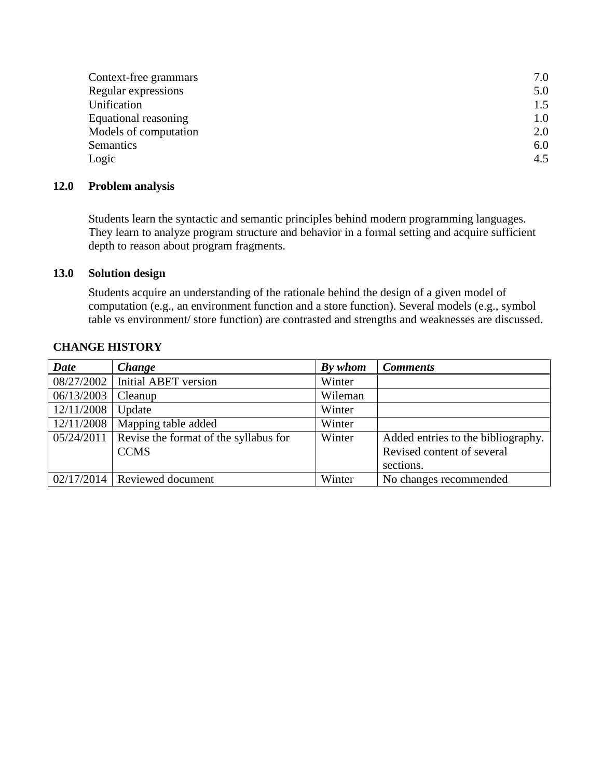| Context-free grammars | 7.0 |
|-----------------------|-----|
| Regular expressions   | 5.0 |
| Unification           | 1.5 |
| Equational reasoning  | 1.0 |
| Models of computation | 2.0 |
| Semantics             | 6.0 |
| Logic                 | 4.5 |
|                       |     |

## **12.0 Problem analysis**

Students learn the syntactic and semantic principles behind modern programming languages. They learn to analyze program structure and behavior in a formal setting and acquire sufficient depth to reason about program fragments.

## **13.0 Solution design**

Students acquire an understanding of the rationale behind the design of a given model of computation (e.g., an environment function and a store function). Several models (e.g., symbol table vs environment/ store function) are contrasted and strengths and weaknesses are discussed.

| <b>Date</b> | <b>Change</b>                         | By whom | <b>Comments</b>                    |
|-------------|---------------------------------------|---------|------------------------------------|
| 08/27/2002  | Initial ABET version                  | Winter  |                                    |
| 06/13/2003  | Cleanup                               | Wileman |                                    |
| 12/11/2008  | Update                                | Winter  |                                    |
| 12/11/2008  | Mapping table added                   | Winter  |                                    |
| 05/24/2011  | Revise the format of the syllabus for | Winter  | Added entries to the bibliography. |
|             | <b>CCMS</b>                           |         | Revised content of several         |
|             |                                       |         | sections.                          |
|             | $02/17/2014$ Reviewed document        | Winter  | No changes recommended             |

## **CHANGE HISTORY**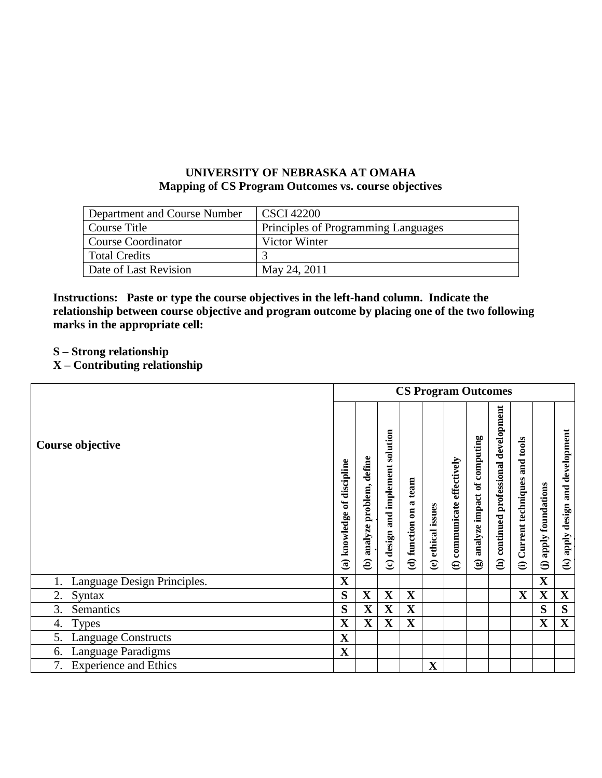## **UNIVERSITY OF NEBRASKA AT OMAHA Mapping of CS Program Outcomes vs. course objectives**

| Department and Course Number | CSCI 42200                          |
|------------------------------|-------------------------------------|
| Course Title                 | Principles of Programming Languages |
| <b>Course Coordinator</b>    | Victor Winter                       |
| <b>Total Credits</b>         |                                     |
| Date of Last Revision        | May 24, 2011                        |

**Instructions: Paste or type the course objectives in the left-hand column. Indicate the relationship between course objective and program outcome by placing one of the two following marks in the appropriate cell:**

- **S – Strong relationship**
- **X – Contributing relationship**

|                                    |                             |                                | <b>CS Program Outcomes</b>           |                           |                    |                                                   |                                 |                                        |                                                 |                                         |                                     |
|------------------------------------|-----------------------------|--------------------------------|--------------------------------------|---------------------------|--------------------|---------------------------------------------------|---------------------------------|----------------------------------------|-------------------------------------------------|-----------------------------------------|-------------------------------------|
| Course objective                   | (a) knowledge of discipline | define<br>(b) analyze problem, | and implement solution<br>(c) design | a team<br>(d) function on | (e) ethical issues | communicate effectively<br>$\widehat{\mathbf{e}}$ | (g) analyze impact of computing | (h) continued professional development | Current techniques and tools<br>$\widehat{\Xi}$ | apply foundations<br>$\widehat{\Theta}$ | and development<br>(k) apply design |
| Language Design Principles.        | $\mathbf X$                 |                                |                                      |                           |                    |                                                   |                                 |                                        |                                                 | $\mathbf X$                             |                                     |
| Syntax<br>2.                       | S                           | $\mathbf X$                    | $\mathbf X$                          | $\mathbf X$               |                    |                                                   |                                 |                                        | $\mathbf X$                                     | X                                       | $\mathbf X$                         |
| Semantics<br>3.                    | S                           | $\mathbf X$                    | $\mathbf X$                          | $\mathbf X$               |                    |                                                   |                                 |                                        |                                                 | S                                       | S                                   |
| <b>Types</b><br>4.                 | $\mathbf X$                 | $\mathbf X$                    | $\mathbf X$                          | $\mathbf X$               |                    |                                                   |                                 |                                        |                                                 | $\mathbf X$                             | $\mathbf X$                         |
| 5.<br><b>Language Constructs</b>   | $\mathbf X$                 |                                |                                      |                           |                    |                                                   |                                 |                                        |                                                 |                                         |                                     |
| Language Paradigms<br>6.           | $\mathbf X$                 |                                |                                      |                           |                    |                                                   |                                 |                                        |                                                 |                                         |                                     |
| <b>Experience and Ethics</b><br>7. |                             |                                |                                      |                           | $\mathbf X$        |                                                   |                                 |                                        |                                                 |                                         |                                     |